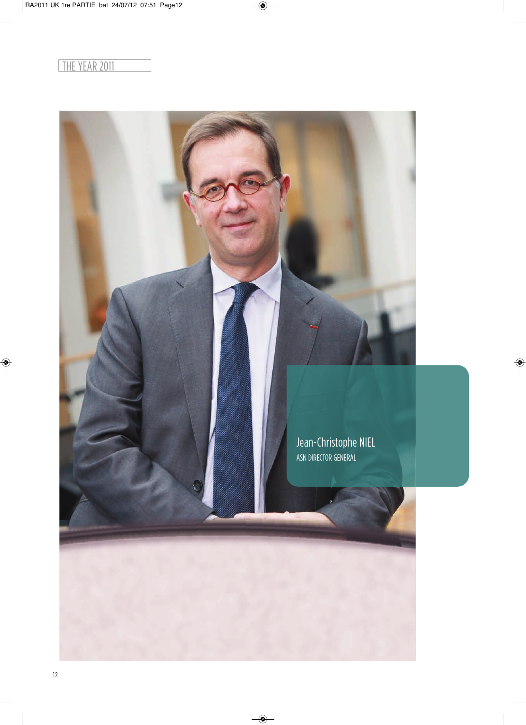## THE YEAR 2011

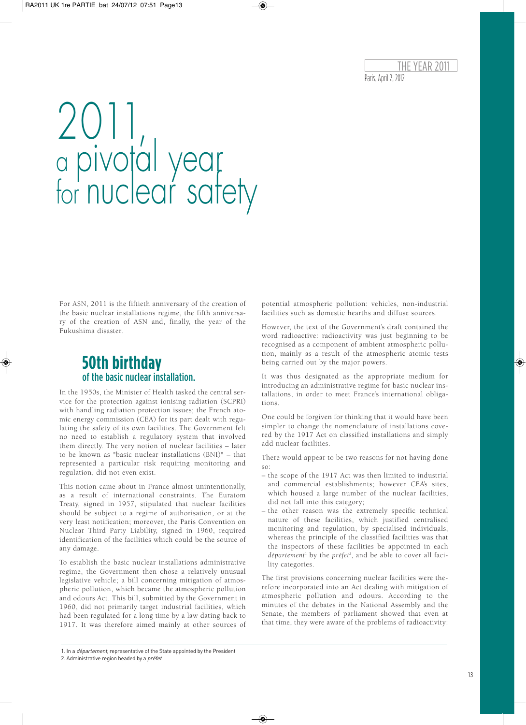Paris, April 2, 2012 THE YEAR 20

# 2011, a pivotal year for nuclear satety

For ASN, 2011 is the fiftieth anniversary of the creation of the basic nuclear installations regime, the fifth anniversary of the creation of ASN and, finally, the year of the Fukushima disaster.

## **50th birthday** of the basic nuclear installation.

In the 1950s, the Minister of Health tasked the central service for the protection against ionising radiation (SCPRI) with handling radiation protection issues; the French atomic energy commission (CEA) for its part dealt with regulating the safety of its own facilities. The Government felt no need to establish a regulatory system that involved them directly. The very notion of nuclear facilities – later to be known as "basic nuclear installations (BNI)" – that represented a particular risk requiring monitoring and regulation, did not even exist.

This notion came about in France almost unintentionally, as a result of international constraints. The Euratom Treaty, signed in 1957, stipulated that nuclear facilities should be subject to a regime of authorisation, or at the very least notification; moreover, the Paris Convention on Nuclear Third Party Liability, signed in 1960, required identification of the facilities which could be the source of any damage.

To establish the basic nuclear installations administrative regime, the Government then chose a relatively unusual legislative vehicle; a bill concerning mitigation of atmospheric pollution, which became the atmospheric pollution and odours Act. This bill, submitted by the Government in 1960, did not primarily target industrial facilities, which had been regulated for a long time by a law dating back to 1917. It was therefore aimed mainly at other sources of potential atmospheric pollution: vehicles, non-industrial facilities such as domestic hearths and diffuse sources.

However, the text of the Government's draft contained the word radioactive: radioactivity was just beginning to be recognised as a component of ambient atmospheric pollution, mainly as a result of the atmospheric atomic tests being carried out by the major powers.

It was thus designated as the appropriate medium for introducing an administrative regime for basic nuclear installations, in order to meet France's international obligations.

One could be forgiven for thinking that it would have been simpler to change the nomenclature of installations covered by the 1917 Act on classified installations and simply add nuclear facilities.

There would appear to be two reasons for not having done so:

- the scope of the 1917 Act was then limited to industrial and commercial establishments; however CEA's sites, which housed a large number of the nuclear facilities, did not fall into this category;
- the other reason was the extremely specific technical nature of these facilities, which justified centralised monitoring and regulation, by specialised individuals, whereas the principle of the classified facilities was that the inspectors of these facilities be appointed in each *département* <sup>1</sup> by the *préfet 2* , and be able to cover all facility categories.

The first provisions concerning nuclear facilities were therefore incorporated into an Act dealing with mitigation of atmospheric pollution and odours. According to the minutes of the debates in the National Assembly and the Senate, the members of parliament showed that even at that time, they were aware of the problems of radioactivity:

<sup>1.</sup> In a département, representative of the State appointed by the President

<sup>2.</sup> Administrative region headed by a préfet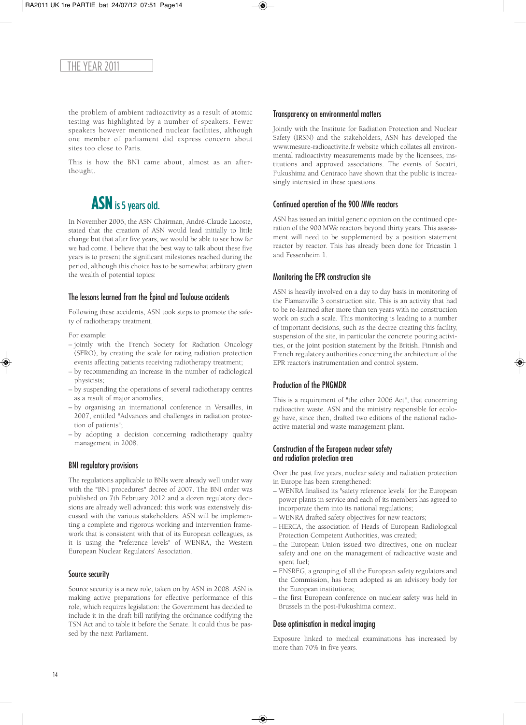the problem of ambient radioactivity as a result of atomic testing was highlighted by a number of speakers. Fewer speakers however mentioned nuclear facilities, although one member of parliament did express concern about sites too close to Paris.

This is how the BNI came about, almost as an afterthought.

## **ASN** is 5 years old.

In November 2006, the ASN Chairman, André-Claude Lacoste, stated that the creation of ASN would lead initially to little change but that after five years, we would be able to see how far we had come. I believe that the best way to talk about these five years is to present the significant milestones reached during the period, although this choice has to be somewhat arbitrary given the wealth of potential topics:

#### The lessons learned from the Épinal and Toulouse accidents

Following these accidents, ASN took steps to promote the safety of radiotherapy treatment.

For example:

- jointly with the French Society for Radiation Oncology (SFRO), by creating the scale for rating radiation protection events affecting patients receiving radiotherapy treatment;
- by recommending an increase in the number of radiological physicists;
- by suspending the operations of several radiotherapy centres as a result of major anomalies;
- by organising an international conference in Versailles, in 2007, entitled "Advances and challenges in radiation protection of patients";
- by adopting a decision concerning radiotherapy quality management in 2008.

#### BNI regulatory provisions

The regulations applicable to BNIs were already well under way with the "BNI procedures" decree of 2007. The BNI order was published on 7th February 2012 and a dozen regulatory decisions are already well advanced: this work was extensively discussed with the various stakeholders. ASN will be implementing a complete and rigorous working and intervention framework that is consistent with that of its European colleagues, as it is using the "reference levels" of WENRA, the Western European Nuclear Regulators' Association.

#### Source security

Source security is a new role, taken on by ASN in 2008. ASN is making active preparations for effective performance of this role, which requires legislation: the Government has decided to include it in the draft bill ratifying the ordinance codifying the TSN Act and to table it before the Senate. It could thus be passed by the next Parliament.

#### Transparency on environmental matters

Jointly with the Institute for Radiation Protection and Nuclear Safety (IRSN) and the stakeholders, ASN has developed the www.mesure-radioactivite.fr website which collates all environmental radioactivity measurements made by the licensees, institutions and approved associations. The events of Socatri, Fukushima and Centraco have shown that the public is increasingly interested in these questions.

#### Continued operation of the 900 MWe reactors

ASN has issued an initial generic opinion on the continued operation of the 900 MWe reactors beyond thirty years. This assessment will need to be supplemented by a position statement reactor by reactor. This has already been done for Tricastin 1 and Fessenheim 1.

#### Monitoring the EPR construction site

ASN is heavily involved on a day to day basis in monitoring of the Flamanville 3 construction site. This is an activity that had to be re-learned after more than ten years with no construction work on such a scale. This monitoring is leading to a number of important decisions, such as the decree creating this facility, suspension of the site, in particular the concrete pouring activities, or the joint position statement by the British, Finnish and French regulatory authorities concerning the architecture of the EPR reactor's instrumentation and control system.

#### Production of the PNGMDR

This is a requirement of "the other 2006 Act", that concerning radioactive waste. ASN and the ministry responsible for ecology have, since then, drafted two editions of the national radioactive material and waste management plant.

#### Construction of the European nuclear safety and radiation protection area

Over the past five years, nuclear safety and radiation protection in Europe has been strengthened:

- WENRA finalised its "safety reference levels" for the European power plants in service and each of its members has agreed to incorporate them into its national regulations;
- WENRA drafted safety objectives for new reactors;
- HERCA, the association of Heads of European Radiological Protection Competent Authorities, was created;
- the European Union issued two directives, one on nuclear safety and one on the management of radioactive waste and spent fuel;
- ENSREG, a grouping of all the European safety regulators and the Commission, has been adopted as an advisory body for the European institutions;
- the first European conference on nuclear safety was held in Brussels in the post-Fukushima context.

#### Dose optimisation in medical imaging

Exposure linked to medical examinations has increased by more than 70% in five years.